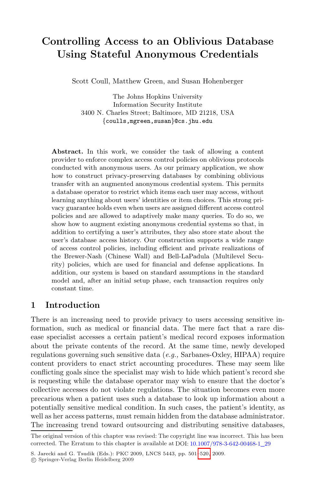# **Controlling Access to an Oblivious Database Using Stateful Anonymous Credentials**

Scott Coull, Matthew Green, and Susan Hohenberger

The Johns Hopkins University Information Security Institute 3400 N. Charles Street; Baltimore, MD 21218, USA {coulls,mgreen,susan}@cs.jhu.edu

**Abstract.** In this work, we consider the task of allowing a content provider to enforce complex access control policies on oblivious protocols conducted with anonymous users. As our primary application, we show how to construct privacy-preserving databases by combining oblivious transfer with an augmented anonymous credential system. This permits a database operator to restrict which items each user may access, without learning anything about users' identities or item choices. This strong privacy guarantee holds even when users are assigned different access control policies and are allowed to adaptively make many queries. To do so, we show how to augment existing anonymous credential systems so that, in addition to certifying a user's attributes, they also store state about the user's database access history. Our construction supports a wide range of access control policies, including efficient and private realizations of the Brewer-Nash (Chinese Wall) and Bell-LaPadula (Multilevel Security) policies, which are used for financial and defense applications. In addition, our system is based on standard assumptions in the standard model and, after an initial setup phase, each transaction requires only constant time.

# **1 Introduction**

There is an increasing need to provide privacy to users accessing sensitive information, such as medical or financial data. The mere fact that a rare disease specialist accesses a certain patient's medical record exposes information about the private contents of the record. At the same time, newly developed regulations governing such sensitive data  $(e.g.,$  Sarbanes-Oxley, HIPAA) require content providers to enact strict accounting procedures. These may seem like conflicting goals since the specialist may wish to hide which patient's record she is requesting while the database operator may wish to ensure that the doctor's collective accesses do not violate regulations. The situation becomes even more precarious when a patient uses such a database to look up information about a potentially sensitive medical condition. In such cases, the patient's identity, as well as her access patterns, must remain hidden from the database administrator. The increasing trend toward outsourcing and distributing sensitive databases,

The original version of this chapter was revised: The copyright line was incorrect. This has been corrected. The Erratum to this chapter is available at DOI: [10.1007/978-3-642-00468-1](http://dx.doi.org/10.1007/978-3-642-00468-1_29)*\_*29

S. Jarecki and G. Tsudik (Eds.): PKC 2009, LNCS 5443, pp. 501[–520,](#page-19-0) 2009.

c Springer-Verlag Berlin Heidelberg 2009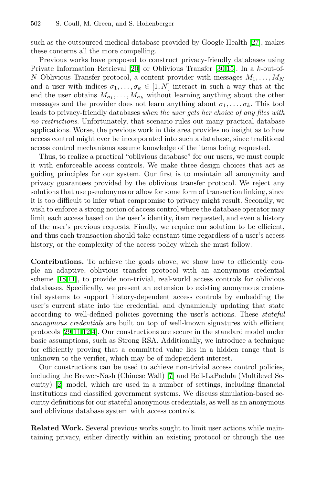such as the outsourced medical database provided by Google Health [[27](#page-16-0)], makes these concerns all the more compelling.

Previous works have proposed to construct privacy-friendly databases using Private Information Retrieval  $[20]$  $[20]$  or Oblivious Transfer  $[30,15]$  $[30,15]$ . In a k-out-of-N Oblivious Transfer protocol, a content provider with messages  $M_1, \ldots, M_N$ and a user with indices  $\sigma_1,\ldots,\sigma_k \in [1,N]$  interact in such a way that at the end the user obtains  $M_{\sigma_1}, \ldots, M_{\sigma_k}$  without learning anything about the other messages and the provider does not learn anything about  $\sigma_1, \ldots, \sigma_k$ . This tool leads to privacy-friendly databases when the user gets her choice of any files with no restrictions. Unfortunately, that scenario rules out many practical database applications. Worse, the previous work in this area provides no insight as to how access control might ever be incorporated into such a database, since traditional access control mechanisms assume knowledge of the items being requested.

Thus, to realize a practical "oblivious database" for our users, we must couple it with enforceable access controls. We make three design choices that act as guiding principles for our system. Our first is to maintain all anonymity and privacy guarantees provided by the oblivious transfer protocol. We reject any solutions that use pseudonyms or allow for some form of transaction linking, since it is too difficult to infer what compromise to privacy might result. Secondly, we wish to enforce a strong notion of access control where the database operator may limit each access based on the user's identity, item requested, and even a history of the user's previous requests. Finally, we require our solution to be efficient, and thus each transaction should take constant time regardless of a user's access history, or the complexity of the access policy which she must follow.

**Contributions.** To achieve the goals above, we show how to efficiently couple an adaptive, oblivious transfer protocol with an anonymous credential scheme [\[1](#page--1-0)8[,11\]](#page--1-1), to provide non-trivial, real-world access controls for oblivious databases. Specifically, we present an extension to existing anonymous credential systems to support history-dependent access controls by embedding the user's current state into the credential, and dynamically updating that state according to well-defined policies governing the user's actions. These stateful anonymous credentials are built on top of well-known signatures with efficient protocols [2[9,](#page-16-2)[11,](#page--1-1)[1](#page--1-2)2,[4](#page-14-0)]. Our constructions are secure in the standard model under basic assumptions, such as Strong RSA. Additionally, we introduce a technique for efficiently proving that a committed value lies in a hidden range that is unknown to the verifier, which may be of independent interest.

Our constructions can be used to achieve non-trivial access control policies, including the Brewer-Nash (Chinese Wall) [[7](#page-15-2)] and Bell-LaPadula (Multilevel Security)  $\boxed{2}$  $\boxed{2}$  $\boxed{2}$  model, which are used in a number of settings, including financial institutions and classified government systems. We discuss simulation-based security definitions for our stateful anonymous credentials, as well as an anonymous and oblivious database system with access controls.

**Related Work.** Several previous works sought to limit user actions while maintaining privacy, either directly within an existing protocol or through the use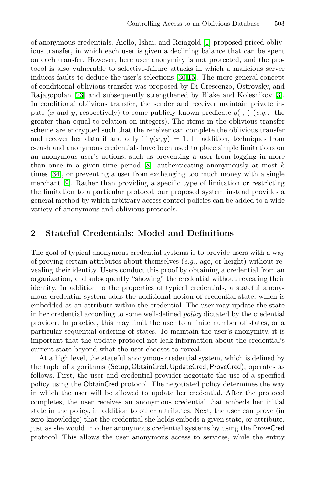of anonymous credentials. Aiello, Ishai, and Reingold [\[1\]](#page-14-2) proposed priced oblivious transfer, in which each user is given a declining balance that can be spent on each transfer. However, here user anonymity is not protected, and the protocol is also vulnerable to selective-failure attacks in which a malicious server induces faults to deduce the user's selections [\[30,](#page-16-1)[15\]](#page-15-1). The more general concept of conditional oblivious transfer was proposed by Di Crescenzo, Ostrovsky, and Rajagopolan **23** and subsequently strengthened by Blake and Kolesnikov **3**. In conditional oblivious transfer, the sender and receiver maintain private inputs (x and y, respectively) to some publicly known predicate  $q(\cdot, \cdot)$  (e.g., the greater than equal to relation on integers). The items in the oblivious transfer scheme are encrypted such that the receiver can complete the oblivious transfer and recover her data if and only if  $q(x, y) = 1$ . In addition, techniques from e-cash and anonymous credentials have been used to place simple limitations on an anonymous user's actions, such as preventing a user from logging in more than once in a given time period  $\mathbb{S}$ , authenticating anonymously at most k times  $[34]$  $[34]$ , or preventing a user from exchanging too much money with a single merchant  $\boxed{9}$ . Rather than providing a specific type of limitation or restricting the limitation to a particular protocol, our proposed system instead provides a general method by which arbitrary access control policies can be added to a wide variety of anonymous and oblivious protocols.

### **2 Stateful Credentials: Model and Definitions**

The goal of typical anonymous credential systems is to provide users with a way of proving certain attributes about themselves  $(e.g.,\text{ age},\text{ or height})$  without revealing their identity. Users conduct this proof by obtaining a credential from an organization, and subsequently "showing" the credential without revealing their identity. In addition to the properties of typical credentials, a stateful anonymous credential system adds the additional notion of credential state, which is embedded as an attribute within the credential. The user may update the state in her credential according to some well-defined policy dictated by the credential provider. In practice, this may limit the user to a finite number of states, or a particular sequential ordering of states. To maintain the user's anonymity, it is important that the update protocol not leak information about the credential's current state beyond what the user chooses to reveal.

Atahigh level, the stateful anonymous credential system, which is defined by the tuple of algorithms (Setup, ObtainCred, UpdateCred, ProveCred), operates as follows. First, the user and credential provider negotiate the use of a specified policy using the ObtainCred protocol. The negotiated policy determines the way in which the user will be allowed to update her credential. After the protocol completes, the user receives an anonymous credential that embeds her initial state in the policy, in addition to other attributes. Next, the user can prove (in zero-knowledge) that the credential she holds embeds a given state, or attribute, just as she would in other anonymous credential systems by using the ProveCred protocol. This allows the user anonymous access to services, while the entity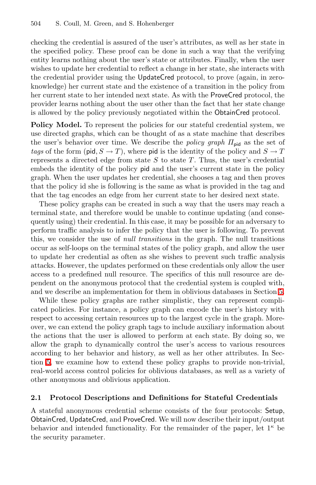checking the credential is assured of the user's attributes, as well as her state in the specified policy. These proof can be done in such a way that the verifying entity learns nothing about the user's state or attributes. Finally, when the user wishes to update her credential to reflect a change in her state, she interacts with the credential provider using the UpdateCred protocol, to prove (again, in zeroknowledge) her current state and the existence of a transition in the policy from her current state to her intended next state. As with the ProveCred protocol, the provider learns nothing about the user other than the fact that her state change is allowed by the policy previously negotiated within the ObtainCred protocol.

**Policy Model.** To represent the policies for our stateful credential system, we use directed graphs, which can be thought of as a state machine that describes the user's behavior over time. We describe the policy graph  $\Pi_{\text{pid}}$  as the set of tags of the form (pid,  $S \to T$ ), where pid is the identity of the policy and  $S \to T$ represents a directed edge from state  $S$  to state  $T$ . Thus, the user's credential embeds the identity of the policy pid and the user's current state in the policy graph. When the user updates her credential, she chooses a tag and then proves that the policy id she is following is the same as what is provided in the tag and that the tag encodes an edge from her current state to her desired next state.

These policy graphs can be created in such a way that the users may reach a terminal state, and therefore would be unable to continue updating (and consequently using) their credential. In this case, it may be possible for an adversary to perform traffic analysis to infer the policy that the user is following. To prevent this, we consider the use of null transitions in the graph. The null transitions occur as self-loops on the terminal states of the policy graph, and allow the user to update her credential as often as she wishes to prevent such traffic analysis attacks. However, the updates performed on these credentials only allow the user access to a predefined null resource. The specifics of this null resource are dependent on the anonymous protocol that the credential system is coupled with, and we describe an implementation for them in oblivious databases in Section [5.](#page--1-3)

While these policy graphs are rather simplistic, they can represent complicated policies. For instance, a policy graph can encode the user's history with respect to accessing certain resources up to the largest cycle in the graph. Moreover, we can extend the policy graph tags to include auxiliary information about the actions that the user is allowed to perform at each state. By doing so, we allow the graph to dynamically control the user's access to various resources according to her behavior and history, as well as her other attributes. In Section  $\overline{5}$ , we examine how to extend these policy graphs to provide non-trivial, real-world access control policies for oblivious databases, as well as a variety of other anonymous and oblivious application.

#### **2.1 Protocol Descriptions and Definitions for Stateful Credentials**

A stateful anonymous credential scheme consists of the four protocols: Setup, ObtainCred, UpdateCred, and ProveCred. We will now describe their input/output behavior and intended functionality. For the remainder of the paper, let  $1^{\kappa}$  be the security parameter.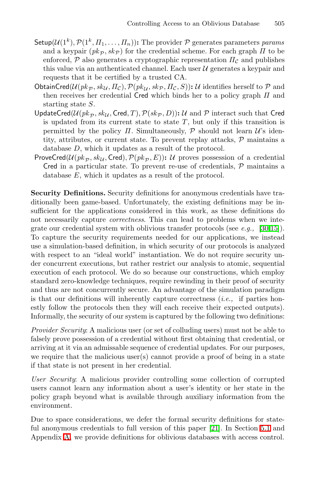- Setup( $\mathcal{U}(1^k)$ ,  $\mathcal{P}(1^k, \Pi_1, \ldots, \Pi_n)$ ): The provider  $\mathcal P$  generates parameters params and a keypair  $(pk_{\mathcal{P}}, sk_{\mathcal{P}})$  for the credential scheme. For each graph  $\Pi$  to be enforced,  $\mathcal P$  also generates a cryptographic representation  $\Pi_{\mathcal C}$  and publishes this value via an authenticated channel. Each user  $\mathcal U$  generates a keypair and requests that it be certified by a trusted CA.
- ObtainCred( $\mathcal{U}(pk_{\mathcal{P}}, sk_{\mathcal{U}}, \Pi_{\mathcal{C}}), \mathcal{P}(pk_{\mathcal{U}}, sk_{\mathcal{P}}, \Pi_{\mathcal{C}}, S)$ ):  $\mathcal{U}$  identifies herself to  $\mathcal{P}$  and then receives her credential Cred which binds her to a policy graph  $\Pi$  and starting state S.
- UpdateCred( $U(pk_{\mathcal{P}}, sk_{\mathcal{U}}, Cred, T), \mathcal{P}(sk_{\mathcal{P}}, D)$ ):  $\mathcal{U}$  and  $\mathcal{P}$  interact such that Cred is updated from its current state to state  $T$ , but only if this transition is permitted by the policy  $\Pi$ . Simultaneously,  $P$  should not learn  $\mathcal{U}$ 's identity, attributes, or current state. To prevent replay attacks,  $P$  maintains a database D, which it updates as a result of the protocol.
- ProveCred( $U(pk_{\mathcal{D}}, sk_{\mathcal{U}}, Cred)$ ,  $\mathcal{P}(pk_{\mathcal{D}}, E)$ ): U proves possession of a credential Cred in a particular state. To prevent re-use of credentials,  $P$  maintains a database E, which it updates as a result of the protocol.

**Security Definitions.** Security definitions for anonymous credentials have traditionally been game-based. Unfortunately, the existing definitions may be insufficient for the applications considered in this work, as these definitions do not necessarily capture *correctness*. This can lead to problems when we integrate our credential system with oblivious transfer protocols (see e.g.,  $[30,15]$  $[30,15]$ ). To capture the security requirements needed for our applications, we instead use a simulation-based definition, in which security of our protocols is analyzed with respect to an "ideal world" instantiation. We do not require security under concurrent executions, but rather restrict our analysis to atomic, sequential execution of each protocol. We do so because our constructions, which employ standard zero-knowledge techniques, require rewinding in their proof of security and thus are not concurrently secure. An advantage of the simulation paradigm is that our definitions will inherently capture correctness  $(i.e.,$  if parties honestly follow the protocols then they will each receive their expected outputs). Informally, the security of our system is captured by the following two definitions:

Provider Security: A malicious user (or set of colluding users) must not be able to falsely prove possession of a credential without first obtaining that credential, or arriving at it via an admissable sequence of credential updates. For our purposes, we require that the malicious user(s) cannot provide a proof of being in a state if that state is not present in her credential.

User Security: A malicious provider controlling some collection of corrupted users cannot learn any information about a user's identity or her state in the policy graph beyond what is available through auxiliary information from the environment.

Due to space considerations, we defer the formal security definitions for stateful anonymous credentials to full version of this paper [2[1\]](#page-15-6). In Section [5.1](#page--1-4) and Appendix  $\overline{A}$ , we provide definitions for oblivious databases with access control.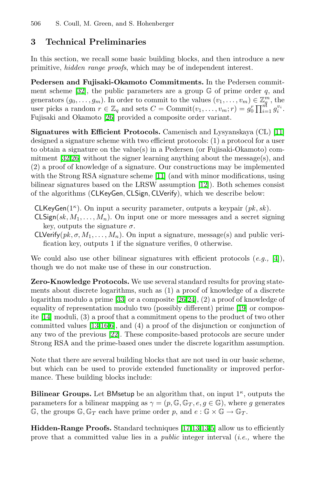# **3 Technical Preliminaries**

In this section, we recall some basic building blocks, and then introduce a new primitive, hidden range proofs, which may be of independent interest.

**Pedersen and Fujisaki-Okamoto Commitments.** In the Pedersen commitment scheme  $[32]$  $[32]$ , the public parameters are a group G of prime order q, and generators  $(g_0, \ldots, g_m)$ . In order to commit to the values  $(v_1, \ldots, v_m) \in \mathbb{Z}_q^m$ , the user picks a random  $r \in \mathbb{Z}_q$  and sets  $C = \text{Commit}(v_1, \ldots, v_m; r) = g_0^r \prod_{i=1}^{m} g_i^{v_i}$ . Fujisaki and Okamoto [2[6\]](#page-16-4) provided a composite order variant.

**Signatures with Efficient Protocols.** Camenisch and Lysyanskaya (CL)  $\boxed{11}$ designed a signature scheme with two efficient protocols: (1) a protocol for a user to obtain a signature on the value(s) in a Pedersen (or Fujisaki-Okamoto) commitment  $32/26$  without the signer learning anything about the message(s), and  $(2)$  a proof of knowledge of a signature. Our constructions may be implemented with the Strong RSA signature scheme **[\[11\]](#page--1-1)** (and with minor modifications, using bilinear signatures based on the LRSW assumption [\[1](#page--1-2)2]. Both schemes consist of the algorithms (CLKeyGen, CLSign, CLVerify), which we describe below:

- CLKeyGen( $1^{\kappa}$ ). On input a security parameter, outputs a keypair ( $pk, sk$ ).
- $CLSign(sk, M_1, \ldots, M_n)$ . On input one or more messages and a secret signing key, outputs the signature  $\sigma$ .
- CLVerify( $pk, \sigma, M_1, \ldots, M_n$ ). On input a signature, message(s) and public verification key, outputs 1 if the signature verifies, 0 otherwise.

We could also use other bilinear signatures with efficient protocols  $(e.g., \Box 4)$  $(e.g., \Box 4)$  $(e.g., \Box 4)$ , though we do not make use of these in our construction.

**Zero-Knowledge Protocols.** We use several standard results for proving statements about discrete logarithms, such as  $(1)$  a proof of knowledge of a discrete logarithm modulo a prime  $\boxed{33}$  or a composite  $\boxed{26,24}$  $\boxed{26,24}$  $\boxed{26,24}$  $\boxed{26,24}$ , (2) a proof of knowledge of equality of representation modulo two (possibly different) prime **[\[19\]](#page--1-8)** or composite  $\boxed{14}$  moduli, (3) a proof that a commitment opens to the product of two other committed values  $\boxed{13,16,6}$  $\boxed{13,16,6}$  $\boxed{13,16,6}$ , and (4) a proof of the disjunction or conjunction of any two of the previous [[22](#page--1-12)]. These composite-based protocols are secure under Strong RSA and the prime-based ones under the discrete logarithm assumption.

Note that there are several building blocks that are not used in our basic scheme, but which can be used to provide extended functionality or improved performance. These building blocks include:

**Bilinear Groups.** Let BMsetup be an algorithm that, on input 1<sup>k</sup>, outputs the parameters for a bilinear mapping as  $\gamma = (p, \mathbb{G}, \mathbb{G}_T, e, g \in \mathbb{G})$ , where g generates  $\mathbb{G}$ , the groups  $\mathbb{G}, \mathbb{G}_T$  each have prime order p, and  $e : \mathbb{G} \times \mathbb{G} \to \mathbb{G}_T$ .

**Hidden-Range Proofs.** Standard techniques **[\[1](#page--1-13)7[,13,13,](#page--1-9)[5\]](#page--1-14)** allow us to efficiently prove that a committed value lies in a *public* integer interval  $(i.e.,$  where the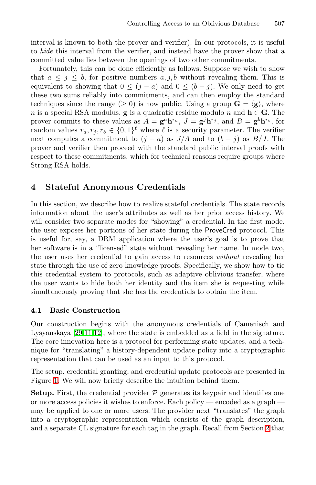interval is known to both the prover and verifier). In our protocols, it is useful to hide this interval from the verifier, and instead have the prover show that a committed value lies between the openings of two other commitments.

Fortunately, this can be done efficiently as follows. Suppose we wish to show that  $a \leq j \leq b$ , for positive numbers  $a, j, b$  without revealing them. This is equivalent to showing that  $0 \le (j - a)$  and  $0 \le (b - j)$ . We only need to get these two sums reliably into commitments, and can then employ the standard techniques since the range ( $\geq 0$ ) is now public. Using a group  $\mathbf{G} = \langle \mathbf{g} \rangle$ , where n is a special RSA modulus, **g** is a quadratic residue modulo n and  $h \in G$ . The prover commits to these values as  $A = \mathbf{g}^{a} \mathbf{h}^{r_a}$ ,  $J = \mathbf{g}^{j} \mathbf{h}^{r_j}$ , and  $B = \mathbf{g}^{b} \mathbf{h}^{r_b}$ , for random values  $r_a, r_j, r_b \in \{0,1\}^{\ell}$  where  $\ell$  is a security parameter. The verifier next computes a commitment to  $(j - a)$  as  $J/A$  and to  $(b - j)$  as  $B/J$ . The prover and verifier then proceed with the standard public interval proofs with respect to these commitments, which for technical reasons require groups where Strong RSA holds.

# **4 Stateful Anonymous Credentials**

In this section, we describe how to realize stateful credentials. The state records information about the user's attributes as well as her prior access history. We will consider two separate modes for "showing" a credential. In the first mode, the user exposes her portions of her state during the ProveCred protocol. This is useful for, say, a DRM application where the user's goal is to prove that her software is in a "licensed" state without revealing her name. In mode two, the user uses her credential to gain access to resources without revealing her state through the use of zero knowledge proofs. Specifically, we show how to tie this credential system to protocols, such as adaptive oblivious transfer, where the user wants to hide both her identity and the item she is requesting while simultaneously proving that she has the credentials to obtain the item.

## **4.1 Basic Construction**

Our construction begins with the anonymous credentials of Camenisch and Lysyanskaya  $[29,11,12]$  $[29,11,12]$  $[29,11,12]$  $[29,11,12]$  $[29,11,12]$ , where the state is embedded as a field in the signature. The core innovation here is a protocol for performing state updates, and a technique for "translating" a history-dependent update policy into a cryptographic representation that can be used as an input to this protocol.

The setup, credential granting, and credential update protocols are presented in Figure  $\Box$  We will now briefly describe the intuition behind them.

**Setup.** First, the credential provider  $P$  generates its keypair and identifies one or more access policies it wishes to enforce. Each policy — encoded as a graph may be applied to one or more users. The provider next "translates" the graph into a cryptographic representation which consists of the graph description, and a separate CL signature for each tag in the graph. Recall from Section  $2$  that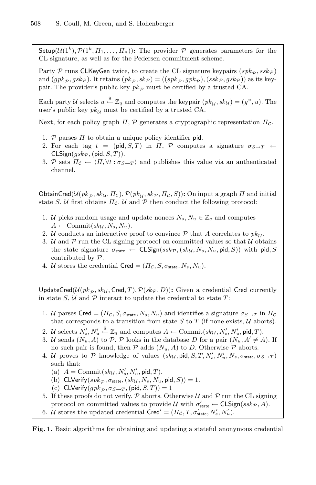Setup( $\mathcal{U}(1^k)$ ,  $\mathcal{P}(1^k, \Pi_1, \ldots, \Pi_n)$ ): The provider P generates parameters for the CL signature, as well as for the Pedersen commitment scheme.

Party P runs CLKeyGen twice, to create the CL signature keypairs  $(spk_{\mathcal{P}}, ssk_{\mathcal{P}})$ and  $(gpk_{\mathcal{P}}, gsk_{\mathcal{P}})$ . It retains  $(pk_{\mathcal{P}}, sk_{\mathcal{P}}) = ((spk_{\mathcal{P}}, gpk_{\mathcal{P}}), (ssk_{\mathcal{P}}, gsk_{\mathcal{P}}))$  as its keypair. The provider's public key  $pk_{\mathcal{P}}$  must be certified by a trusted CA.

Each party *U* selects  $u \stackrel{\$}{\leftarrow} \mathbb{Z}_q$  and computes the keypair  $(pk_{\mathcal{U}}, sk_{\mathcal{U}}) = (g^u, u)$ . The user's public key  $pk_{\mathcal{U}}$  must be certified by a trusted CA.

Next, for each policy graph  $\Pi$ ,  $P$  generates a cryptographic representation  $\Pi_c$ .

- 1. P parses  $\Pi$  to obtain a unique policy identifier pid.
- 2. For each tag  $t = (pid, S, T)$  in  $\Pi$ ,  $P$  computes a signature  $\sigma_{S \to T}$   $\leftarrow$  $CLSign(gsk_{\mathcal{P}}, (\text{pid}, S, T))$ .
- 3. P sets  $\Pi_c \leftarrow \langle \Pi, \forall t : \sigma_{S \to T} \rangle$  and publishes this value via an authenticated channel.

ObtainCred( $U(pk_{\mathcal{P}}, sk_{\mathcal{U}}, \Pi_{\mathcal{C}}), \mathcal{P}(pk_{\mathcal{U}}, sk_{\mathcal{P}}, \Pi_{\mathcal{C}}, S)$ ): On input a graph  $\Pi$  and initial state S, U first obtains  $\Pi_c$ . U and P then conduct the following protocol:

- 1. U picks random usage and update nonces  $N_s, N_u \in \mathbb{Z}_q$  and computes  $A \leftarrow \text{Commit}(sk_{\mathcal{U}}, N_s, N_u).$
- 2. U conducts an interactive proof to convince  $P$  that A correlates to  $pk_{U}$ .
- 3.  $U$  and  $P$  run the CL signing protocol on committed values so that  $U$  obtains the state signature  $\sigma_{\text{state}} \leftarrow \text{CLSign}(ssk_{\mathcal{P}}, (sk_{\mathcal{U}}, N_s, N_u, \text{pid}, S))$  with pid, S contributed by P.
- 4. *U* stores the credential Cred =  $(\Pi_{\mathcal{C}}, S, \sigma_{\text{state}}, N_s, N_u)$ .

UpdateCred( $\mathcal{U}(pk_{\mathcal{D}}, sk_{\mathcal{U}}, \text{Cred}, T)$ ,  $\mathcal{P}(sk_{\mathcal{P}}, D)$ ): Given a credential Cred currently in state  $S, U$  and  $P$  interact to update the credential to state  $T$ :

- 1. U parses Cred =  $(\Pi_c, S, \sigma_{\text{state}}, N_s, N_u)$  and identifies a signature  $\sigma_{S \to T}$  in  $\Pi_c$ that corresponds to a transition from state S to T (if none exists,  $\mathcal U$  aborts).
- 2. U selects  $N'_s, N'_u \stackrel{\$}{\leftarrow} \mathbb{Z}_q$  and computes  $A \leftarrow \text{Commit}(sk_{\mathcal{U}}, N'_s, N'_u, \text{pid}, T)$ .
- 3. U sends  $(N_u, A)$  to P. P looks in the database D for a pair  $(N_u, A' \neq A)$ . If no such pair is found, then  $P$  adds  $(N_u, A)$  to D. Otherwise  $P$  aborts.
- 4. U proves to  $P$  knowledge of values  $(sku, \text{pid}, S, T, N'_s, N'_u, N_s, \sigma_{\text{state}}, \sigma_{S \to T})$ such that:
	- (a)  $A = \text{Commit}(sku, N'_s, N'_u, \text{pid}, T)$ .
	- (b) CLVerify $(spk_{\mathcal{P}}, \sigma_{\text{state}}, (sk_{\mathcal{U}}, N_s, N_u, \text{pid}, S)) = 1.$
	- (c) CLVerify $(gpk_{\mathcal{P}}, \sigma_{S\rightarrow T}, (\text{pid}, S, T)) = 1$
- 5. If these proofs do not verify,  $P$  aborts. Otherwise  $U$  and  $P$  run the CL signing protocol on committed values to provide  $\mathcal{U}$  with  $\sigma'_{\text{state}} \leftarrow \text{CLSign}(ssk_{\mathcal{P}}, A)$ .
- 6. U stores the updated credential  $\mathsf{Cred}' = (\Pi_{\mathcal{C}}, T, \sigma'_{\mathsf{state}}, N'_{s}, N'_{u}).$

**Fig. 1.** Basic algorithms for obtaining and updating a stateful anonymous credential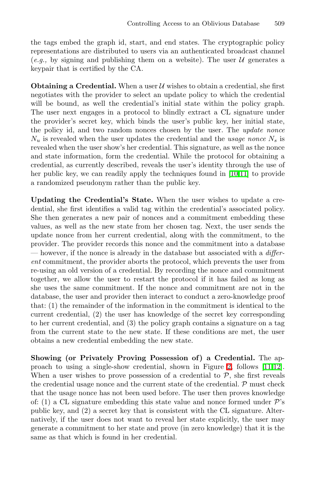the tags embed the graph id, start, and end states. The cryptographic policy representations are distributed to users via an authenticated broadcast channel (e.g., by signing and publishing them on a website). The user  $U$  generates a keypair that is certified by the CA.

**Obtaining a Credential.** When a user  $U$  wishes to obtain a credential, she first negotiates with the provider to select an update policy to which the credential will be bound, as well the credential's initial state within the policy graph. The user next engages in a protocol to blindly extract a CL signature under the provider's secret key, which binds the user's public key, her initial state, the policy id, and two random nonces chosen by the user. The update nonce  $N_u$  is revealed when the user updates the credential and the usage nonce  $N_s$  is revealed when the user show's her credential. This signature, as well as the nonce and state information, form the credential. While the protocol for obtaining a credential, as currently described, reveals the user's identity through the use of her public key, we can readily apply the techniques found in **[\[10,](#page-15-9)[11\]](#page--1-1)** to provide a randomized pseudonym rather than the public key.

**Updating the Credential's State.** When the user wishes to update a credential, she first identifies a valid tag within the credential's associated policy. She then generates a new pair of nonces and a commitment embedding these values, as well as the new state from her chosen tag. Next, the user sends the update nonce from her current credential, along with the commitment, to the provider. The provider records this nonce and the commitment into a database — however, if the nonce is already in the database but associated with a  $d$ ifferent commitment, the provider aborts the protocol, which prevents the user from re-using an old version of a credential. By recording the nonce and commitment together, we allow the user to restart the protocol if it has failed as long as she uses the same commitment. If the nonce and commitment are not in the database, the user and provider then interact to conduct a zero-knowledge proof that: (1) the remainder of the information in the commitment is identical to the current credential, (2) the user has knowledge of the secret key corresponding to her current credential, and (3) the policy graph containsasignature on a tag from the current state to the new state. If these conditions are met, the user obtains a new credential embedding the new state.

**Showing (or Privately Proving Possession of) a Credential.** The approach to using a single-show credential, shown in Figure  $\overline{2}$ , follows  $\overline{11,12}$  $\overline{11,12}$  $\overline{11,12}$ . When a user wishes to prove possession of a credential to  $P$ , she first reveals the credential usage nonce and the current state of the credential.  $\mathcal{P}$  must check that the usage nonce has not been used before. The user then proves knowledge of: (1) a CL signature embedding this state value and nonce formed under  $\mathcal{P}$ 's public key, and (2) a secret key that is consistent with the CL signature. Alternatively, if the user does not want to reveal her state explicitly, the user may generate a commitment to her state and prove (in zero knowledge) that it is the same as that which is found in her credential.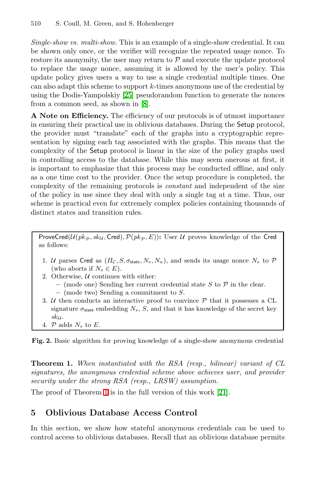$Single-show vs. multi-show. This is an example of a single-show credentials. It can$ be shown only once, or the verifier will recognize the repeated usage nonce. To restore its anonymity, the user may return to  $\mathcal P$  and execute the update protocol to replace the usage nonce, assuming it is allowed by the user's policy. This update policy gives users a way to use a single credential multiple times. One can also adapt this scheme to support k-times anonymous use of the credential by using the Dodis-Yampolskiy [2[5\]](#page-16-5) pseudorandom function to generate the nonces from a common seed, as shown in  $[8]$  $[8]$  $[8]$ .

**A Note on Efficiency.** The efficiency of our protocols is of utmost importance in ensuring their practical use in oblivious databases. During the Setup protocol, the provider must "translate" each of the graphs into a cryptographic representation by signing each tag associated with the graphs. This means that the complexity of the Setup protocol is linear in the size of the policy graphs used in controlling access to the database. While this may seem onerous at first, it is important to emphasize that this process may be conducted offline, and only as a one time cost to the provider. Once the setup procedure is completed, the complexity of the remaining protocols is constant and independent of the size of the policy in use since they deal with only a single tag at a time. Thus, our scheme is practical even for extremely complex policies containing thousands of distinct states and transition rules.

ProveCred( $U(pk_{\mathcal{P}}, sk_{\mathcal{U}}, Cred)$ ,  $\mathcal{P}(pk_{\mathcal{P}}, E)$ ): User  $\mathcal{U}$  proves knowledge of the Cred as follows:

- 1. U parses Cred as  $(\Pi_c, S, \sigma_{\text{state}}, N_s, N_u)$ , and sends its usage nonce  $N_s$  to  $\mathcal P$ (who aborts if  $N_s \in E$ ).
- 2. Otherwise,  $U$  continues with either:
	- (mode one) Sending her current credential state  $S$  to  $\mathcal P$  in the clear.
	- **–** (mode two) Sending a commitment to S.
- 3.  $U$  then conducts an interactive proof to convince  $P$  that it possesses a CL signature  $\sigma_{\text{state}}$  embedding  $N_s$ , S, and that it has knowledge of the secret key  $sku$ .

4.  $P$  adds  $N_s$  to  $E$ .

**Fig. 2.** Basic algorithm for proving knowledge of a single-show anonymous credential

**Theorem 1.** When instantiated with the RSA (resp., bilinear) variant of CL signatures, the anonymous credential scheme above achieves user, and provider security under the strong RSA (resp., LRSW) assumption.

The proof of Theorem  $\boxed{1}$  $\boxed{1}$  $\boxed{1}$  is in the full version of this work  $\boxed{21}$ .

# **5 Oblivious Database Access Control**

In this section, we show how stateful anonymous credentials can be used to control access to oblivious databases. Recall that an oblivious database permits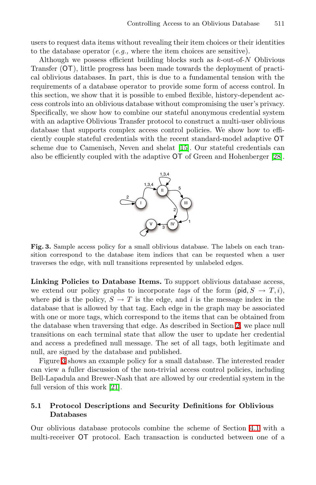users to request data items without revealing their item choices or their identities to the database operator  $(e.g.,\)$  where the item choices are sensitive).

Although we possess efficient building blocks such as  $k$ -out-of-N Oblivious Transfer (OT), little progress has been made towards the deployment of practical oblivious databases. In part, this is due to a fundamental tension with the requirements of a database operator to provide some form of access control. In this section, we show that it is possible to embed flexible, history-dependent access controls into an oblivious database without compromising the user's privacy. Specifically, we show how to combine our stateful anonymous credential system with an adaptive Oblivious Transfer protocol to construct a multi-user oblivious database that supports complex access control policies. We show how to efficiently couple stateful credentials with the recent standard-model adaptive OT scheme due to Camenisch, Neven and shelat **[\[15\]](#page-15-1)**. Our stateful credentials can also be efficiently coupled with the adaptive OT of Green and Hohenberger [[28](#page-16-6)].



**Fig. 3.** Sample access policy for a small oblivious database. The labels on each transition correspond to the database item indices that can be requested when a user traverses the edge, with null transitions represented by unlabeled edges.

**Linking Policies to Database Items.** To support oblivious database access, we extend our policy graphs to incorporate tags of the form (pid,  $S \to T, i$ ), where pid is the policy,  $S \to T$  is the edge, and i is the message index in the database that is allowed by that tag. Each edge in the graph may be associated with one or more tags, which correspond to the items that can be obtained from the database when traversing that edge. As described in Section  $\mathbb{Z}$  we place null transitions on each terminal state that allow the user to update her credential and access a predefined null message. The set of all tags, both legitimate and null, are signed by the database and published.

Figure  $\overline{3}$  $\overline{3}$  $\overline{3}$  shows an example policy for a small database. The interested reader can view a fuller discussion of the non-trivial access control policies, including Bell-Lapadula and Brewer-Nash that are allowed by our credential system in the full version of this work  $[21]$  $[21]$ .

#### **5.1 Protocol Descriptions and Security Definitions for Oblivious Databases**

Our oblivious database protocols combine the scheme of Section  $[4.1]$  $[4.1]$  $[4.1]$  with a multi-receiver OT protocol. Each transaction is conducted between one of a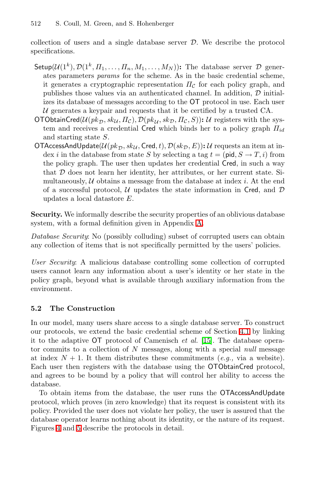collection of users and a single database server  $\mathcal{D}$ . We describe the protocol specifications.

- Setup( $\mathcal{U}(1^k)$ ,  $\mathcal{D}(1^k, \Pi_1, \ldots, \Pi_n, M_1, \ldots, M_N)$ ): The database server  $\mathcal{D}$  generates parameters params for the scheme. As in the basic credential scheme, it generates a cryptographic representation  $\Pi_c$  for each policy graph, and publishes those values via an authenticated channel. In addition, D initializes its database of messages according to the OT protocol in use. Each user  $U$  generates a keypair and requests that it be certified by a trusted CA.
- OTObtainCred( $U(pk_{\mathcal{D}}, sk_{\mathcal{U}}, \Pi_{\mathcal{C}}), \mathcal{D}(pk_{\mathcal{U}}, sk_{\mathcal{D}}, \Pi_{\mathcal{C}}, S)$ ):  $\mathcal{U}$  registers with the system and receives a credential Cred which binds her to a policy graph  $\Pi_{id}$ and starting state S.
- OTAccessAndUpdate( $\mathcal{U}(pk_{\mathcal{D}}, sk_{\mathcal{U}}, Cred, t), \mathcal{D}(sk_{\mathcal{D}}, E)$ ):  $\mathcal{U}$  requests an item at index i in the database from state S by selecting a tag  $t = (pid, S \rightarrow T, i)$  from the policy graph. The user then updates her credential Cred, in such a way that  $D$  does not learn her identity, her attributes, or her current state. Simultaneously,  $U$  obtains a message from the database at index i. At the end of a successful protocol, U updates the state information in Cred, and  $D$ updates a local datastore E.

**Security.** We informally describe the security properties of an oblivious database system, with a formal definition given in Appendix [A.](#page--1-5)

Database Security: No (possibly colluding) subset of corrupted users can obtain any collection of items that is not specifically permitted by the users' policies.

User Security: A malicious database controlling some collection of corrupted users cannot learn any information about a user's identity or her state in the policy graph, beyond what is available through auxiliary information from the environment.

#### **5.2 The Construction**

In our model, many users share access to a single database server. To construct our protocols, we extend the basic credential scheme of Section 4[.1](#page--1-20) by linking it to the adaptive  $\overline{OT}$  protocol of Camenisch *et al.* [\[15\]](#page-15-1). The database operator commits to a collection of  $N$  messages, along with a special *null* message at index  $N + 1$ . It them distributes these commitments (e.g., via a website). Each user then registers with the database using the OTObtainCred protocol, and agrees to be bound by a policy that will control her ability to access the database.

To obtain items from the database, the user runs the OTAccessAndUpdate protocol, which proves (in zero knowledge) that its request is consistent with its policy. Provided the user does not violate her policy, the user is assured that the database operator learns nothing about its identity, or the nature of its request. Figures [4](#page--1-21) and [5](#page--1-22) describe the protocols in detail.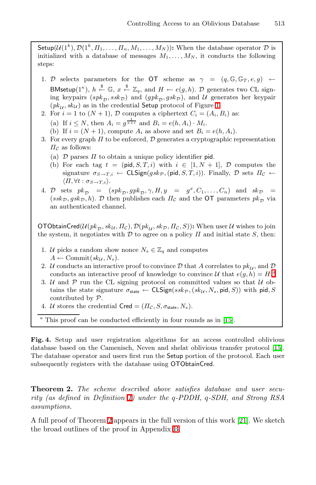Setup( $\mathcal{U}(1^k)$ ,  $\mathcal{D}(1^k, \Pi_1, \ldots, \Pi_n, M_1, \ldots, M_N)$ ): When the database operator  $\mathcal D$  is initialized with a database of messages  $M_1, \ldots, M_N$ , it conducts the following steps:

- 1. D selects parameters for the OT scheme as  $\gamma = (q, \mathbb{G}, \mathbb{G}_T, e, g) \leftarrow$ BMsetup(1<sup>k</sup>),  $h \stackrel{\$}{\leftarrow} \mathbb{G}$ ,  $x \stackrel{\$}{\leftarrow} \mathbb{Z}_q$ , and  $H \leftarrow e(g,h)$ .  $\mathcal{D}$  generates two CL signing keypairs  $(spk_{\mathcal{D}}, ssk_{\mathcal{D}})$  and  $(gpk_{\mathcal{D}}, gsk_{\mathcal{D}})$ , and U generates her keypair  $(pk_{\mathcal{U}}, sk_{\mathcal{U}})$  as in the credential Setup protocol of Figure  $\Box$
- 2. For  $i = 1$  to  $(N + 1)$ ,  $\mathcal{D}$  computes a ciphertext  $C_i = (A_i, B_i)$  as:
	- (a) If  $i \leq N$ , then  $A_i = g^{\overline{x+i}}$  and  $B_i = e(h, A_i) \cdot M_i$ .
	- (b) If  $i = (N + 1)$ , compute  $A_i$  as above and set  $B_i = e(h, A_i)$ .
- 3. For every graph  $\Pi$  to be enforced,  $\mathcal D$  generates a cryptographic representation  $\Pi_{\mathcal{C}}$  as follows:
	- (a)  $D$  parses  $\Pi$  to obtain a unique policy identifier pid.
	- (b) For each tag  $t = (pid, S, T, i)$  with  $i \in [1, N + 1], \mathcal{D}$  computes the signature  $\sigma_{S\to T,i}$  ← CLSign( $gsk_{\mathcal{P}}$ , (pid, S, T, i)). Finally, D sets  $\Pi_{\mathcal{C}}$  ←  $\langle \Pi, \forall t : \sigma_{S \to T, i} \rangle$ .
- 4. D sets  $pk_{\mathcal{D}} = (spk_{\mathcal{D}}, gpk_{\mathcal{D}}, \gamma, H, y = g^x, C_1, \ldots, C_n)$  and  $sk_{\mathcal{D}} =$  $(ssk_{\mathcal{D}}, gsk_{\mathcal{D}}, h)$ . D then publishes each  $\Pi_{\mathcal{C}}$  and the OT parameters  $pk_{\mathcal{D}}$  via an authenticated channel.

OTObtainCred( $\mathcal{U}(pk_{\mathcal{D}}, sk_{\mathcal{U}}, \Pi_{\mathcal{C}}), \mathcal{D}(pk_{\mathcal{U}}, sk_{\mathcal{D}}, \Pi_{\mathcal{C}}, S)$ ): When user  $\mathcal{U}$  wishes to join the system, it negotiates with  $\mathcal D$  to agree on a policy  $\Pi$  and initial state  $S$ , then:

- 1. U picks a random show nonce  $N_s \in \mathbb{Z}_q$  and computes  $A \leftarrow \text{Commit}(sk_{\mathcal{U}}, N_s).$
- 2. U conducts an interactive proof to convince  $\mathcal D$  that A correlates to  $pk_{\mathcal{U}}$ , and  $\mathcal D$ conducts [a](#page--1-23)n interactive proof of knowledge to convince  $\mathcal U$  that  $e(g, h) = H^{\mathbb{R}}$
- 3. U and  $P$  run the CL signing protocol on committed values so that U obtains the state signature  $\sigma_{\text{state}} \leftarrow \text{CLSign}(ssk_{\mathcal{P}}, (sk_{\mathcal{U}}, N_s, \text{pid}, S))$  with pid, S contributed by P.
- 4. U stores the credential Cred =  $(\Pi_{\mathcal{C}}, S, \sigma_{\text{state}}, N_s)$ .

<sup>a</sup> This proof can be conducted efficiently in four rounds as in  $\boxed{15}$ .

**Fig. 4.** Setup and user registration algorithms for an access controlled oblivious database based on the Camenisch, Neven and shelat oblivious transfer protocol [\[15\]](#page-15-1). The database operator and users first run the Setup portion of the protocol. Each user subsequently registers with the database using OTObtainCred.

**Theorem 2.** The scheme described above satisfies database and user security (as defined in Definition  $\Box$ ) under the q-PDDH, q-SDH, and Strong RSA assumptions.

A full proof of Theorem  $\boxed{2}$  appears in the full version of this work  $\boxed{21}$ . We sketch the broad outlines of the proof in Appendix [B.](#page--1-26)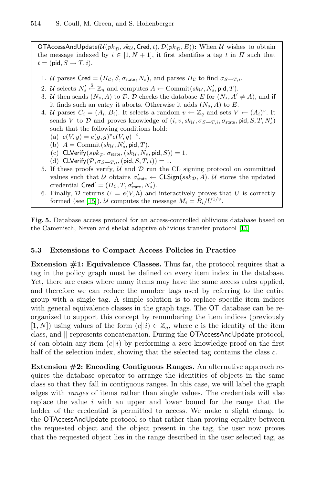OTAccessAndUpdate( $\mathcal{U}(pk_{\mathcal{D}}, sk_{\mathcal{U}}, Cred, t)$ ,  $\mathcal{D}(pk_{\mathcal{D}}, E)$ ): When  $\mathcal{U}$  wishes to obtain the message indexed by  $i \in [1, N + 1]$ , it first identifies a tag t in  $\Pi$  such that  $t = (pid, S \rightarrow T, i).$ 

- 1. U parses Cred =  $(\Pi_{\mathcal{C}}, S, \sigma_{\text{state}}, N_s)$ , and parses  $\Pi_{\mathcal{C}}$  to find  $\sigma_{S \to T,i}$ .
- 2. U selects  $N_s' \stackrel{\$}{\leftarrow} \mathbb{Z}_q$  and computes  $A \leftarrow \text{Commit}(sk_{\mathcal{U}}, N_s', \text{pid}, T)$ .
- 3. U then sends  $(N_s, A)$  to D. D checks the database E for  $(N_s, A' \neq A)$ , and if it finds such an entry it aborts. Otherwise it adds  $(N_s, A)$  to E.
- 4. U parses  $C_i = (A_i, B_i)$ . It selects a random  $v \leftarrow \mathbb{Z}_q$  and sets  $V \leftarrow (A_i)^v$ . It sends V to D and proves knowledge of  $(i, v, sku, \sigma_{S \to T, i}, \sigma_{state}, \text{pid}, S, T, N_s')$ such that the following conditions hold:
	- (a)  $e(V, y) = e(g, g)^{v} e(V, g)^{-i}$ .
	- (b)  $A = \text{Commit}(sku, N'_s, \text{pid}, T)$ .
	- (c)  $CLVerify(spk_{\mathcal{D}}, \sigma_{state}, (sk_{\mathcal{U}}, N_s, \text{pid}, S)) = 1.$
	- (d) CLVerify $(\mathcal{P}, \sigma_{S\rightarrow T,i}, (\text{pid}, S, T, i)) = 1$ .
- 5. If these proofs verify,  $U$  and  $D$  run the CL signing protocol on committed values such that U obtains  $\sigma'_{\text{state}} \leftarrow \text{CLSign}(ssk_{\mathcal{D}}, A)$ . U stores the updated credential  $\mathsf{Cred}' = (\Pi_{\mathcal{C}}, T, \sigma'_{\mathsf{state}}, N'_{s}).$
- 6. Finally,  $D$  returns  $U = e(V, h)$  and interactively proves that U is correctly formed (see [\[15\]](#page-15-1)). U computes the message  $M_i = B_i/U^{1/v}$ .

**Fig. 5.** Database access protocol for an access-controlled oblivious database based on the Camenisch, Neven and shelat adaptive oblivious transfer protocol [\[15\]](#page-15-1)

#### **5.3 Extensions to Compact Access Policies in Practice**

**Extension #1: Equivalence Classes.** Thus far, the protocol requires that a tag in the policy graph must be defined on every item index in the database. Yet, there are cases where many items may have the same access rules applied, and therefore we can reduce the number tags used by referring to the entire group with a single tag. A simple solution is to replace specific item indices with general equivalence classes in the graph tags. The OT database can be reorganized to support this concept by renumbering the item indices (previously  $[1, N]$ ) using values of the form  $(c||i) \in \mathbb{Z}_q$ , where c is the identity of the item class, and || represents concatenation. During the OTAccessAndUpdate protocol, U can obtain any item  $(c||i)$  by performing a zero-knowledge proof on the first half of the selection index, showing that the selected tag contains the class c.

**Extension #2: Encoding Contiguous Ranges.** An alternative approach requires the database operator to arrange the identities of objects in the same class so that they fall in contiguous ranges. In this case, we will label the graph edges with ranges of items rather than single values. The credentials will also replace the value  $i$  with an upper and lower bound for the range that the holder of the credential is permitted to access. We make a slight change to the OTAccessAndUpdate protocol so that rather than proving equality between the requested object and the object present in the tag, the user now proves that the requested object lies in the range described in the user selected tag, as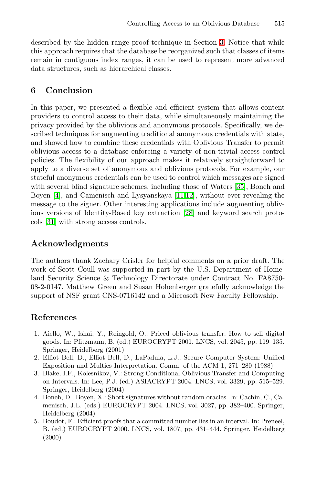described by the hidden range proof technique in Section  $\mathbb{Z}$ . Notice that while this approach requires that the database be reorganized such that classes of items remain in contiguous index ranges, it can be used to represent more advanced data structures, such as hierarchical classes.

## **6 Conclusion**

In this paper, we presented a flexible and efficient system that allows content providers to control access to their data, while simultaneously maintaining the privacy provided by the oblivious and anonymous protocols. Specifically, we described techniques for augmenting traditional anonymous credentials with state, and showed how to combine these credentials with Oblivious Transfer to permit oblivious access to a database enforcing a variety of non-trivial access control policies. The flexibility of our approach makes it relatively straightforward to apply to a diverse set of anonymous and oblivious protocols. For example, our stateful anonymous credentials can be used to control which messages are signed with several blind signature schemes, including those of Waters **[\[35\]](#page-16-7)**, Boneh and Boyen  $[4]$  $[4]$  $[4]$ , and Camenisch and Lysyanskaya  $[11]$  $[11]$ , without ever revealing the message to the signer. Other interesting applications include augmenting oblivious versions of Identity-Based key extraction [[28](#page-16-6)] and keyword search protocols **31** with strong access controls.

# **Acknowledgments**

<span id="page-14-2"></span><span id="page-14-1"></span>The authors thank Zachary Crisler for helpful comments on a prior draft. The work of Scott Coull was supported in part by the U.S. Department of Homeland Security Science & Technology Directorate under Contract No. FA8750- 08-2-0147. Matthew Green and Susan Hohenberger gratefully acknowledge the support of NSF grant CNS-0716142 and a Microsoft New Faculty Fellowship.

## <span id="page-14-3"></span>**References**

- <span id="page-14-0"></span>1. Aiello, W., Ishai, Y., Reingold, O.: Priced oblivious transfer: How to sell digital goods. In: Pfitzmann, B. (ed.) EUROCRYPT 2001. LNCS, vol. 2045, pp. 119–135. Springer, Heidelberg (2001)
- 2. Elliot Bell, D., Elliot Bell, D., LaPadula, L.J.: Secure Computer System: Unified Exposition and Multics Interpretation. Comm. of the ACM 1, 271–280 (1988)
- 3. Blake, I.F., Kolesnikov, V.: Strong Conditional Oblivious Transfer and Computing on Intervals. In: Lee, P.J. (ed.) ASIACRYPT 2004. LNCS, vol. 3329, pp. 515–529. Springer, Heidelberg (2004)
- 4. Boneh, D., Boyen, X.: Short signatures without random oracles. In: Cachin, C., Camenisch, J.L. (eds.) EUROCRYPT 2004. LNCS, vol. 3027, pp. 382–400. Springer, Heidelberg (2004)
- 5. Boudot, F.: Efficient proofs that a committed number lies in an interval. In: Preneel, B. (ed.) EUROCRYPT 2000. LNCS, vol. 1807, pp. 431–444. Springer, Heidelberg (2000)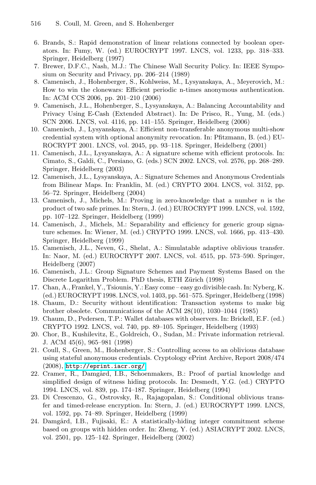- <span id="page-15-5"></span><span id="page-15-4"></span><span id="page-15-2"></span>6. Brands, S.: Rapid demonstration of linear relations connected by boolean operators. In: Fumy, W. (ed.) EUROCRYPT 1997. LNCS, vol. 1233, pp. 318–333. Springer, Heidelberg (1997)
- <span id="page-15-9"></span>7. Brewer, D.F.C., Nash, M.J.: The Chinese Wall Security Policy. In: IEEE Symposium on Security and Privacy, pp. 206–214 (1989)
- 8. Camenisch, J., Hohenberger, S., Kohlweiss, M., Lysyanskaya, A., Meyerovich, M.: How to win the clonewars: Efficient periodic n-times anonymous authentication. In: ACM CCS 2006, pp. 201–210 (2006)
- 9. Camenisch, J.L., Hohenberger, S., Lysyanskaya, A.: Balancing Accountability and Privacy Using E-Cash (Extended Abstract). In: De Prisco, R., Yung, M. (eds.) SCN 2006. LNCS, vol. 4116, pp. 141–155. Springer, Heidelberg (2006)
- 10. Camenisch, J., Lysyanskaya, A.: Efficient non-transferable anonymous multi-show credential system with optional anonymity revocation. In: Pfitzmann, B. (ed.) EU-ROCRYPT 2001. LNCS, vol. 2045, pp. 93–118. Springer, Heidelberg (2001)
- <span id="page-15-8"></span>11. Camenisch, J.L., Lysyanskaya, A.: A signature scheme with efficient protocols. In: Cimato, S., Galdi, C., Persiano, G. (eds.) SCN 2002. LNCS, vol. 2576, pp. 268–289. Springer, Heidelberg (2003)
- <span id="page-15-1"></span>12. Camenisch, J.L., Lysyanskaya, A.: Signature Schemes and Anonymous Credentials from Bilinear Maps. In: Franklin, M. (ed.) CRYPTO 2004. LNCS, vol. 3152, pp. 56–72. Springer, Heidelberg (2004)
- 13. Camenisch, J., Michels, M.: Proving in zero-knowledge that a number n is the product of two safe primes. In: Stern, J. (ed.) EUROCRYPT 1999. LNCS, vol. 1592, pp. 107–122. Springer, Heidelberg (1999)
- 14. Camenisch, J., Michels, M.: Separability and efficiency for generic group signature schemes. In: Wiener, M. (ed.) CRYPTO 1999. LNCS, vol. 1666, pp. 413–430. Springer, Heidelberg (1999)
- 15. Camenisch, J.L., Neven, G., Shelat, A.: Simulatable adaptive oblivious transfer. In: Naor, M. (ed.) EUROCRYPT 2007. LNCS, vol. 4515, pp. 573–590. Springer, Heidelberg (2007)
- <span id="page-15-6"></span><span id="page-15-0"></span>16. Camenisch, J.L.: Group Signature Schemes and Payment Systems Based on the Discrete Logarithm Problem. PhD thesis, ETH Zürich (1998)
- 17. Chan, A., Frankel, Y., Tsiounis, Y.: Easy come easy go divisible cash. In: Nyberg, K. (ed.) EUROCRYPT 1998. LNCS, vol. 1403, pp. 561–575. Springer, Heidelberg (1998)
- 18. Chaum, D.: Security without identification: Transaction systems to make big brother obsolete. Communications of the ACM 28(10), 1030–1044 (1985)
- <span id="page-15-3"></span>19. Chaum, D., Pedersen, T.P.: Wallet databases with observers. In: Brickell, E.F. (ed.) CRYPTO 1992. LNCS, vol. 740, pp. 89–105. Springer, Heidelberg (1993)
- 20. Chor, B., Kushilevitz, E., Goldreich, O., Sudan, M.: Private information retrieval. J. ACM 45(6), 965–981 (1998)
- <span id="page-15-7"></span>21. Coull, S., Green, M., Hohenberger, S.: Controlling access to an oblivious database using stateful anonymous credentials. Cryptology ePrint Archive, Report 2008/474 (2008), <http://eprint.iacr.org/>
- 22. Cramer, R., Damgård, I.B., Schoenmakers, B.: Proof of partial knowledge and simplified design of witness hiding protocols. In: Desmedt, Y.G. (ed.) CRYPTO 1994. LNCS, vol. 839, pp. 174–187. Springer, Heidelberg (1994)
- 23. Di Crescenzo, G., Ostrovsky, R., Rajagopalan, S.: Conditional oblivious transfer and timed-release encryption. In: Stern, J. (ed.) EUROCRYPT 1999. LNCS, vol. 1592, pp. 74–89. Springer, Heidelberg (1999)
- 24. Damgård, I.B., Fujisaki, E.: A statistically-hiding integer commitment scheme based on groups with hidden order. In: Zheng, Y. (ed.) ASIACRYPT 2002. LNCS, vol. 2501, pp. 125–142. Springer, Heidelberg (2002)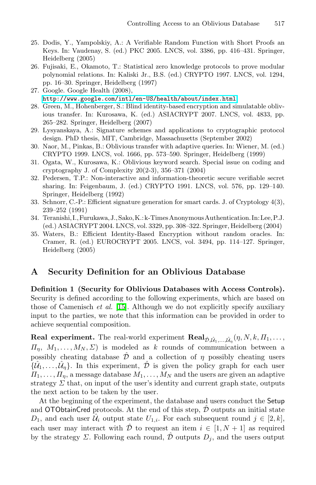- <span id="page-16-6"></span><span id="page-16-5"></span><span id="page-16-4"></span><span id="page-16-0"></span>25. Dodis, Y., Yampolskiy, A.: A Verifiable Random Function with Short Proofs an Keys. In: Vaudenay, S. (ed.) PKC 2005. LNCS, vol. 3386, pp. 416–431. Springer, Heidelberg (2005)
- <span id="page-16-2"></span><span id="page-16-1"></span>26. Fujisaki, E., Okamoto, T.: Statistical zero knowledge protocols to prove modular polynomial relations. In: Kaliski Jr., B.S. (ed.) CRYPTO 1997. LNCS, vol. 1294, pp. 16–30. Springer, Heidelberg (1997)
- <span id="page-16-8"></span>27. Google. Google Health (2008), <http://www.google.com/intl/en-US/health/about/index.html>
- 28. Green, M., Hohenberger, S.: Blind identity-based encryption and simulatable oblivious transfer. In: Kurosawa, K. (ed.) ASIACRYPT 2007. LNCS, vol. 4833, pp. 265–282. Springer, Heidelberg (2007)
- 29. Lysyanskaya, A.: Signature schemes and applications to cryptographic protocol design. PhD thesis, MIT, Cambridge, Massachusetts (September 2002)
- <span id="page-16-3"></span>30. Naor, M., Pinkas, B.: Oblivious transfer with adaptive queries. In: Wiener, M. (ed.) CRYPTO 1999. LNCS, vol. 1666, pp. 573–590. Springer, Heidelberg (1999)
- <span id="page-16-7"></span>31. Ogata, W., Kurosawa, K.: Oblivious keyword search. Special issue on coding and cryptography J. of Complexity 20(2-3), 356–371 (2004)
- 32. Pedersen, T.P.: Non-interactive and information-theoretic secure verifiable secret sharing. In: Feigenbaum, J. (ed.) CRYPTO 1991. LNCS, vol. 576, pp. 129–140. Springer, Heidelberg (1992)
- 33. Schnorr, C.-P.: Efficient signature generation for smart cards. J. of Cryptology 4(3), 239–252 (1991)
- 34. Teranishi, I.,Furukawa,J.,Sako,K.:k-TimesAnonymousAuthentication. In:Lee,P.J. (ed.) ASIACRYPT 2004. LNCS, vol. 3329, pp. 308–322. Springer, Heidelberg (2004)
- 35. Waters, B.: Efficient Identity-Based Encryption without random oracles. In: Cramer, R. (ed.) EUROCRYPT 2005. LNCS, vol. 3494, pp. 114–127. Springer, Heidelberg (2005)

# **A Security Definition for an Oblivious Database**

**Definition 1 (Security for Oblivious Databases with Access Controls).** Security is defined according to the following experiments, which are based on those of Camenisch *et al.*  $\boxed{15}$ . Although we do not explicitly specify auxiliary input to the parties, we note that this information can be provided in order to achieve sequential composition.

**Real experiment.** The real-world experiment  $\text{Real}_{\hat{\mathcal{D}}, \hat{\mathcal{U}}_1, \dots, \hat{\mathcal{U}}_n}(\eta, N, k, \Pi_1, \dots, \Pi_k)$  $\Pi_n, M_1, \ldots, M_N, \Sigma$  is modeled as k rounds of communication between a possibly cheating database  $\hat{\mathcal{D}}$  and a collection of  $\eta$  possibly cheating users  ${\{\hat{\mathcal{U}}_1,\ldots,\hat{\mathcal{U}}_n\}}$ . In this experiment,  $\hat{\mathcal{D}}$  is given the policy graph for each user  $\Pi_1,\ldots,\Pi_n$ , a message database  $M_1,\ldots,M_N$  and the users are given an adaptive strategy  $\Sigma$  that, on input of the user's identity and current graph state, outputs the next action to be taken by the user.

At the beginning of the experiment, the database and users conduct the Setup and OTObtainCred protocols. At the end of this step,  $\hat{\mathcal{D}}$  outputs an initial state  $D_1$ , and each user  $\mathcal{U}_i$  output state  $U_{1,i}$ . For each subsequent round  $j \in [2, k]$ , each user may interact with  $\hat{\mathcal{D}}$  to request an item  $i \in [1, N + 1]$  as required by the strategy  $\Sigma$ . Following each round,  $\hat{\mathcal{D}}$  outputs  $D_j$ , and the users output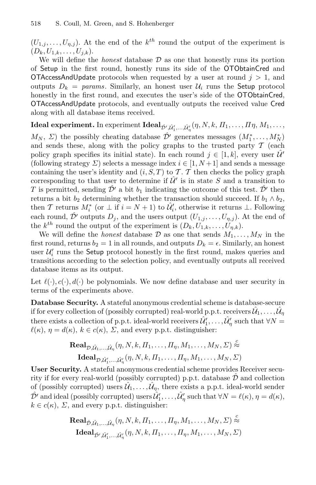$(U_{1,j},\ldots,U_{n,j})$ . At the end of the  $k^{th}$  round the output of the experiment is  $(D_k, U_{1,k}, \ldots, U_{j,k}).$ 

We will define the *honest* database  $\mathcal{D}$  as one that honestly runs its portion of Setup in the first round, honestly runs its side of the OTObtainCred and OTAccessAndUpdate protocols when requested by a user at round  $j > 1$ , and outputs  $D_k = \text{params.}$  Similarly, an honest user  $\mathcal{U}_i$  runs the Setup protocol honestly in the first round, and executes the user's side of the OTObtainCred, OTAccessAndUpdate protocols, and eventually outputs the received value Cred along with all database items received.

# $\textbf{Ideal experiment.} \textbf{ In experiment } \textbf{Ideal}_{\hat{\mathcal{D}}',\hat{\mathcal{U}}'_1,...,\hat{\mathcal{U}}'_\eta}(\eta,N,k,\varPi_1,\dots,\varPi\eta,M_1,\dots,\varPi_n)$

 $M_N, \Sigma$ ) the possibly cheating database  $\hat{\mathcal{D}}'$  generates messages  $(M_1^*, \ldots, M_N^*)$ and sends these, along with the policy graphs to the trusted party  $\mathcal T$  (each policy graph specifies its initial state). In each round  $j \in [1, k]$ , every user  $\mathcal{U}'$ (following strategy  $\Sigma$ ) selects a message index  $i \in [1, N+1]$  and sends a message containing the user's identity and  $(i, S, T)$  to T. T then checks the policy graph corresponding to that user to determine if  $\mathcal{U}'$  is in state S and a transition to T is permitted, sending  $\hat{\mathcal{D}}'$  a bit  $b_1$  indicating the outcome of this test.  $\hat{\mathcal{D}}'$  then returns a bit  $b_2$  determining whether the transaction should succeed. If  $b_1 \wedge b_2$ , then T returns  $M_i^*$  (or  $\perp$  if  $i = N + 1$ ) to  $\hat{\mathcal{U}}'_i$ , otherwise it returns  $\perp$ . Following each round,  $\hat{\mathcal{D}}'$  outputs  $D_j$ , and the users output  $(U_{1,j},...,U_{\eta,j})$ . At the end of the  $k^{th}$  round the output of the experiment is  $(D_k, U_{1,k}, \ldots, U_{n,k})$ .

We will define the *honest* database D as one that sends  $M_1, \ldots, M_N$  in the first round, returns  $b_2 = 1$  in all rounds, and outputs  $D_k = \epsilon$ . Similarly, an honest user  $\mathcal{U}'_i$  runs the Setup protocol honestly in the first round, makes queries and transitions according to the selection policy, and eventually outputs all received database items as its output.

Let  $\ell(\cdot), c(\cdot), d(\cdot)$  be polynomials. We now define database and user security in terms of the experiments above.

**Database Security.** A stateful anonymous credential scheme is database-secure if for every collection of (possibly corrupted) real-world p.p.t. receivers  $\hat{\mathcal{U}}_1,\ldots,\hat{\mathcal{U}}_\eta$ there exists a collection of p.p.t. ideal-world receivers  $\hat{\mathcal{U}}'_1,\ldots,\hat{\mathcal{U}}'_\eta$  such that  $\forall N=1$  $\ell(\kappa)$ ,  $\eta = d(\kappa)$ ,  $k \in c(\kappa)$ ,  $\Sigma$ , and every p.p.t. distinguisher:

$$
\text{Real}_{\mathcal{D}, \hat{\mathcal{U}}_1, \dots, \hat{\mathcal{U}}_\eta}(\eta, N, k, \Pi_1, \dots, \Pi_\eta, M_1, \dots, M_N, \Sigma) \stackrel{c}{\approx}
$$
  

$$
\text{Ideal}_{\mathcal{D}, \hat{\mathcal{U}}'_1, \dots, \hat{\mathcal{U}}'_\eta}(\eta, N, k, \Pi_1, \dots, \Pi_\eta, M_1, \dots, M_N, \Sigma)
$$

**User Security.** A stateful anonymous credential scheme provides Receiver security if for every real-world (possibly corrupted) p.p.t. database  $D$  and collection of (possibly corrupted) users  $\hat{\mathcal{U}}_1,\ldots,\hat{\mathcal{U}}_n$ , there exists a p.p.t. ideal-world sender  $\hat{\mathcal{D}}'$  and ideal (possibly corrupted) users  $\hat{\mathcal{U}}'_1,\ldots,\hat{\mathcal{U}}'_\eta$  such that  $\forall N=\ell(\kappa),\eta=d(\kappa),$  $k \in c(\kappa)$ ,  $\Sigma$ , and every p.p.t. distinguisher:

$$
\text{Real}_{\hat{\mathcal{D}}, \hat{\mathcal{U}}_1, \dots, \hat{\mathcal{U}}_\eta}(\eta, N, k, \Pi_1, \dots, \Pi_\eta, M_1, \dots, M_N, \Sigma) \stackrel{c}{\approx}
$$
  

$$
\text{Ideal}_{\hat{\mathcal{D}}', \hat{\mathcal{U}}'_1, \dots, \hat{\mathcal{U}}'_\eta}(\eta, N, k, \Pi_1, \dots, \Pi_\eta, M_1, \dots, M_N, \Sigma)
$$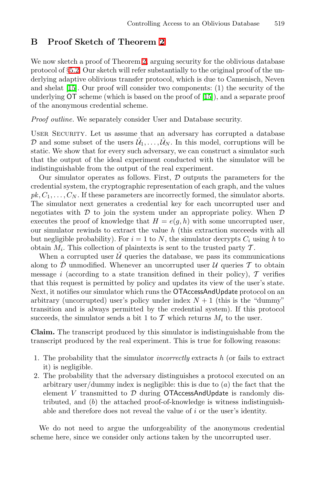## **B Proof Sketch of Theorem [2](#page--1-25)**

We now sketch a proof of Theorem  $\mathbb{Z}$  arguing security for the oblivious database protocol of §[5.](#page--1-28)2. Our sketch will refer substantially to the original proof of the underlying adaptive oblivious transfer protocol, which is due to Camenisch, Neven and shelat  $\boxed{15}$ . Our proof will consider two components: (1) the security of the underlying  $\overline{OT}$  scheme (which is based on the proof of  $\overline{15}$ ), and a separate proof of the anonymous credential scheme.

Proof outline. We separately consider User and Database security.

User Security. Let us assume that an adversary has corrupted a database D and some subset of the users  $\mathcal{U}_1,\ldots,\mathcal{U}_N$ . In this model, corruptions will be static. We show that for every such adversary, we can construct a simulator such that the output of the ideal experiment conducted with the simulator will be indistinguishable from the output of the real experiment.

Our simulator operates as follows. First,  $\mathcal D$  outputs the parameters for the credential system, the cryptographic representation of each graph, and the values  $pk, C_1, \ldots, C_N$ . If these parameters are incorrectly formed, the simulator aborts. The simulator next generates a credential key for each uncorrupted user and negotiates with  $D$  to join the system under an appropriate policy. When  $D$ executes the proof of knowledge that  $H = e(g, h)$  with some uncorrupted user, our simulator rewinds to extract the value h (this extraction succeeds with all but negligible probability). For  $i = 1$  to N, the simulator decrypts  $C_i$  using h to obtain  $M_i$ . This collection of plaintexts is sent to the trusted party  $\mathcal T$ .

When a corrupted user  $\hat{U}$  queries the database, we pass its communications along to  $\bar{\mathcal{D}}$  unmodified. Whenever an uncorrupted user  $\mathcal{U}$  queries  $\bar{\mathcal{T}}$  to obtain message i (according to a state transition defined in their policy),  $\mathcal T$  verifies that this request is permitted by policy and updates its view of the user's state. Next, it notifies our simulator which runs the OTAccessAndUpdate protocol on an arbitrary (uncorrupted) user's policy under index  $N + 1$  (this is the "dummy" transition and is always permitted by the credential system). If this protocol succeeds, the simulator sends a bit 1 to  $\mathcal T$  which returns  $M_i$  to the user.

**Claim.** The transcript produced by this simulator is indistinguishable from the transcript produced by the real experiment. This is true for following reasons:

- 1. The probability that the simulator *incorrectly* extracts  $h$  (or fails to extract it) is negligible.
- 2. The probability that the adversary distinguishes a protocol executed on an arbitrary user/dummy index is negligible: this is due to  $(a)$  the fact that the element V transmitted to  $\mathcal D$  during OTAccessAndUpdate is randomly distributed, and (b) the attached proof-of-knowledge is witness indistinguishable and therefore does not reveal the value of  $i$  or the user's identity.

We do not need to argue the unforgeability of the anonymous credential scheme here, since we consider only actions taken by the uncorrupted user.